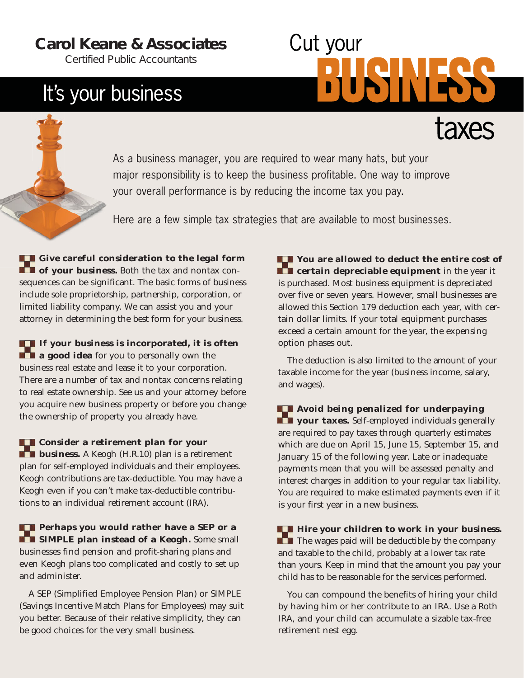### **Carol Keane & Associates**

*Certified Public Accountants*

## It's your business

# Cut your

As a business manager, you are required to wear many hats, but your major responsibility is to keep the business profitable. One way to improve your overall performance is by reducing the income tax you pay.

Here are a few simple tax strategies that are available to most businesses.

**C** Give careful consideration to the legal form **Followia of your business.** Both the tax and nontax consequences can be significant. The basic forms of business include sole proprietorship, partnership, corporation, or limited liability company. We can assist you and your attorney in determining the best form for your business.

**If your business is incorporated, it is often a good idea** for you to personally own the business real estate and lease it to your corporation. There are a number of tax and nontax concerns relating to real estate ownership. See us and your attorney before you acquire new business property or before you change the ownership of property you already have.

**Consider a retirement plan for your business.** A Keogh (H.R.10) plan is a retirement plan for self-employed individuals and their employees. Keogh contributions are tax-deductible. You may have a Keogh even if you can't make tax-deductible contributions to an individual retirement account (IRA).

**Perhaps you would rather have a SEP or a SIMPLE plan instead of a Keogh.** Some small businesses find pension and profit-sharing plans and even Keogh plans too complicated and costly to set up and administer.

A SEP (Simplified Employee Pension Plan) or SIMPLE (Savings Incentive Match Plans for Employees) may suit you better. Because of their relative simplicity, they can be good choices for the very small business.

**You are allowed to deduct the entire cost of certain depreciable equipment** in the year it is purchased. Most business equipment is depreciated over five or seven years. However, small businesses are allowed this Section 179 deduction each year, with certain dollar limits. If your total equipment purchases exceed a certain amount for the year, the expensing option phases out.

The deduction is also limited to the amount of your taxable income for the year (business income, salary, and wages).

**Avoid being penalized for underpaying Followian views.** Self-employed individuals generally are required to pay taxes through quarterly estimates which are due on April 15, June 15, September 15, and January 15 of the following year. Late or inadequate payments mean that you will be assessed penalty and interest charges in addition to your regular tax liability. You are required to make estimated payments even if it is your first year in a new business.

**Hire your children to work in your business. The wages paid will be deductible by the company** and taxable to the child, probably at a lower tax rate than yours. Keep in mind that the amount you pay your child has to be reasonable for the services performed.

You can compound the benefits of hiring your child by having him or her contribute to an IRA. Use a Roth IRA, and your child can accumulate a sizable tax-free retirement nest egg.